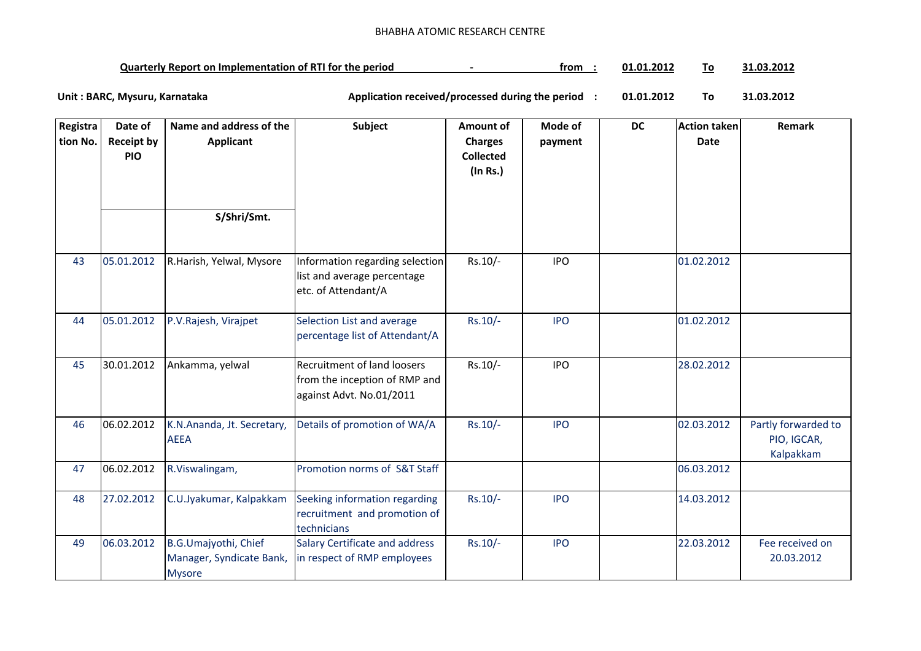## BHABHA ATOMIC RESEARCH CENTRE

| <b>Quarterly Report on Implementation of RTI for the period</b> |  | trom | $\textcolor{red}{1.01.201}$<br>л4 |  | 31.03.2012 |
|-----------------------------------------------------------------|--|------|-----------------------------------|--|------------|
|-----------------------------------------------------------------|--|------|-----------------------------------|--|------------|

**01.01.2012 To 31.03.2012** Unit : BARC, Mysuru, Karnataka **Alexander State and Application received/processed during the period** :

| Registra | Date of                         | Name and address of the    | Subject                                                      | Amount of                          | Mode of    | <b>DC</b> | <b>Action taken</b> | Remark              |
|----------|---------------------------------|----------------------------|--------------------------------------------------------------|------------------------------------|------------|-----------|---------------------|---------------------|
| tion No. | <b>Receipt by</b><br><b>PIO</b> | <b>Applicant</b>           |                                                              | <b>Charges</b><br><b>Collected</b> | payment    |           | <b>Date</b>         |                     |
|          |                                 |                            |                                                              | (In Rs.)                           |            |           |                     |                     |
|          |                                 |                            |                                                              |                                    |            |           |                     |                     |
|          |                                 |                            |                                                              |                                    |            |           |                     |                     |
|          |                                 | S/Shri/Smt.                |                                                              |                                    |            |           |                     |                     |
|          |                                 |                            |                                                              |                                    |            |           |                     |                     |
| 43       | 05.01.2012                      | R.Harish, Yelwal, Mysore   | Information regarding selection                              | Rs.10/-                            | <b>IPO</b> |           | 01.02.2012          |                     |
|          |                                 |                            | list and average percentage                                  |                                    |            |           |                     |                     |
|          |                                 |                            | etc. of Attendant/A                                          |                                    |            |           |                     |                     |
|          |                                 |                            |                                                              |                                    | <b>IPO</b> |           |                     |                     |
| 44       | 05.01.2012                      | P.V.Rajesh, Virajpet       | Selection List and average<br>percentage list of Attendant/A | $Rs.10/-$                          |            |           | 01.02.2012          |                     |
|          |                                 |                            |                                                              |                                    |            |           |                     |                     |
| 45       | 30.01.2012                      | Ankamma, yelwal            | Recruitment of land loosers                                  | Rs.10/-                            | <b>IPO</b> |           | 28.02.2012          |                     |
|          |                                 |                            | from the inception of RMP and                                |                                    |            |           |                     |                     |
|          |                                 |                            | against Advt. No.01/2011                                     |                                    |            |           |                     |                     |
| 46       | 06.02.2012                      | K.N.Ananda, Jt. Secretary, | Details of promotion of WA/A                                 | $Rs.10/-$                          | <b>IPO</b> |           | 02.03.2012          | Partly forwarded to |
|          |                                 | <b>AEEA</b>                |                                                              |                                    |            |           |                     | PIO, IGCAR,         |
|          |                                 |                            |                                                              |                                    |            |           |                     | Kalpakkam           |
| 47       | 06.02.2012                      | R.Viswalingam,             | Promotion norms of S&T Staff                                 |                                    |            |           | 06.03.2012          |                     |
| 48       | 27.02.2012                      | C.U.Jyakumar, Kalpakkam    | Seeking information regarding                                | Rs.10/-                            | <b>IPO</b> |           | 14.03.2012          |                     |
|          |                                 |                            | recruitment and promotion of                                 |                                    |            |           |                     |                     |
|          |                                 |                            | technicians                                                  |                                    |            |           |                     |                     |
| 49       | 06.03.2012                      | B.G.Umajyothi, Chief       | Salary Certificate and address                               | $Rs.10/-$                          | <b>IPO</b> |           | 22.03.2012          | Fee received on     |
|          |                                 | Manager, Syndicate Bank,   | in respect of RMP employees                                  |                                    |            |           |                     | 20.03.2012          |
|          |                                 | <b>Mysore</b>              |                                                              |                                    |            |           |                     |                     |